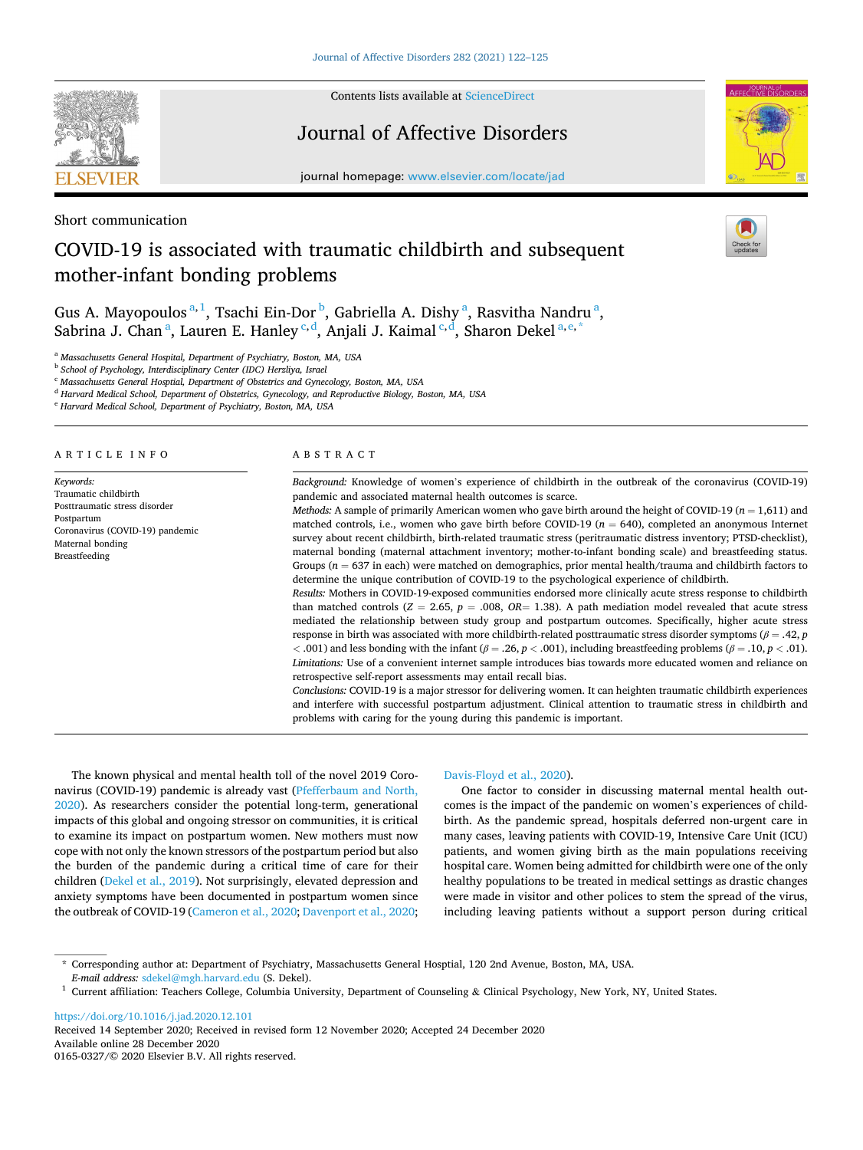

Contents lists available at [ScienceDirect](www.sciencedirect.com/science/journal/01650327)

## Journal of Affective Disorders



journal homepage: [www.elsevier.com/locate/jad](https://www.elsevier.com/locate/jad)

Short communication

# COVID-19 is associated with traumatic childbirth and subsequent mother-infant bonding problems

Gus A. Mayopoulos<sup>a, 1</sup>, Tsachi Ein-Dor<sup>b</sup>, Gabriella A. Dishy<sup>a</sup>, Rasvitha Nandru<sup>a</sup>, Sabrina J. Chan<sup>a</sup>, Lauren E. Hanley<sup>c,d</sup>, Anjali J. Kaimal<sup>c,d</sup>, Sharon Dekel<sup>a,e,\*</sup>

<sup>a</sup> *Massachusetts General Hospital, Department of Psychiatry, Boston, MA, USA* 

<sup>b</sup> *School of Psychology, Interdisciplinary Center (IDC) Herzliya, Israel* 

<sup>c</sup> *Massachusetts General Hosptial, Department of Obstetrics and Gynecology, Boston, MA, USA* 

<sup>d</sup> *Harvard Medical School, Department of Obstetrics, Gynecology, and Reproductive Biology, Boston, MA, USA* 

<sup>e</sup> *Harvard Medical School, Department of Psychiatry, Boston, MA, USA* 

#### ARTICLE INFO

*Keywords:*  Traumatic childbirth Posttraumatic stress disorder Postpartum Coronavirus (COVID-19) pandemic Maternal bonding Breastfeeding

#### ABSTRACT

*Background:* Knowledge of women's experience of childbirth in the outbreak of the coronavirus (COVID-19) pandemic and associated maternal health outcomes is scarce.

*Methods:* A sample of primarily American women who gave birth around the height of COVID-19 (*n* = 1,611) and matched controls, i.e., women who gave birth before COVID-19 (*n* = 640), completed an anonymous Internet survey about recent childbirth, birth-related traumatic stress (peritraumatic distress inventory; PTSD-checklist), maternal bonding (maternal attachment inventory; mother-to-infant bonding scale) and breastfeeding status. Groups ( $n = 637$  in each) were matched on demographics, prior mental health/trauma and childbirth factors to determine the unique contribution of COVID-19 to the psychological experience of childbirth.

*Results:* Mothers in COVID-19-exposed communities endorsed more clinically acute stress response to childbirth than matched controls ( $Z = 2.65$ ,  $p = .008$ ,  $OR = 1.38$ ). A path mediation model revealed that acute stress mediated the relationship between study group and postpartum outcomes. Specifically, higher acute stress response in birth was associated with more childbirth-related posttraumatic stress disorder symptoms (*β* = .42, *p <* .001) and less bonding with the infant (*β* = .26, *p <* .001), including breastfeeding problems (*β* = .10, *p <* .01). *Limitations:* Use of a convenient internet sample introduces bias towards more educated women and reliance on retrospective self-report assessments may entail recall bias.

*Conclusions:* COVID-19 is a major stressor for delivering women. It can heighten traumatic childbirth experiences and interfere with successful postpartum adjustment. Clinical attention to traumatic stress in childbirth and problems with caring for the young during this pandemic is important.

The known physical and mental health toll of the novel 2019 Coronavirus (COVID-19) pandemic is already vast [\(Pfefferbaum and North,](#page-3-0)  [2020\)](#page-3-0). As researchers consider the potential long-term, generational impacts of this global and ongoing stressor on communities, it is critical to examine its impact on postpartum women. New mothers must now cope with not only the known stressors of the postpartum period but also the burden of the pandemic during a critical time of care for their children [\(Dekel et al., 2019\)](#page-3-0). Not surprisingly, elevated depression and anxiety symptoms have been documented in postpartum women since the outbreak of COVID-19 ([Cameron et al., 2020](#page-3-0); [Davenport et al., 2020](#page-3-0);

## [Davis-Floyd et al., 2020\)](#page-3-0).

One factor to consider in discussing maternal mental health outcomes is the impact of the pandemic on women's experiences of childbirth. As the pandemic spread, hospitals deferred non-urgent care in many cases, leaving patients with COVID-19, Intensive Care Unit (ICU) patients, and women giving birth as the main populations receiving hospital care. Women being admitted for childbirth were one of the only healthy populations to be treated in medical settings as drastic changes were made in visitor and other polices to stem the spread of the virus, including leaving patients without a support person during critical

\* Corresponding author at: Department of Psychiatry, Massachusetts General Hosptial, 120 2nd Avenue, Boston, MA, USA.

<https://doi.org/10.1016/j.jad.2020.12.101>

Available online 28 December 2020 0165-0327/© 2020 Elsevier B.V. All rights reserved. Received 14 September 2020; Received in revised form 12 November 2020; Accepted 24 December 2020

<sup>&</sup>lt;sup>1</sup> Current affiliation: Teachers College, Columbia University, Department of Counseling & Clinical Psychology, New York, NY, United States.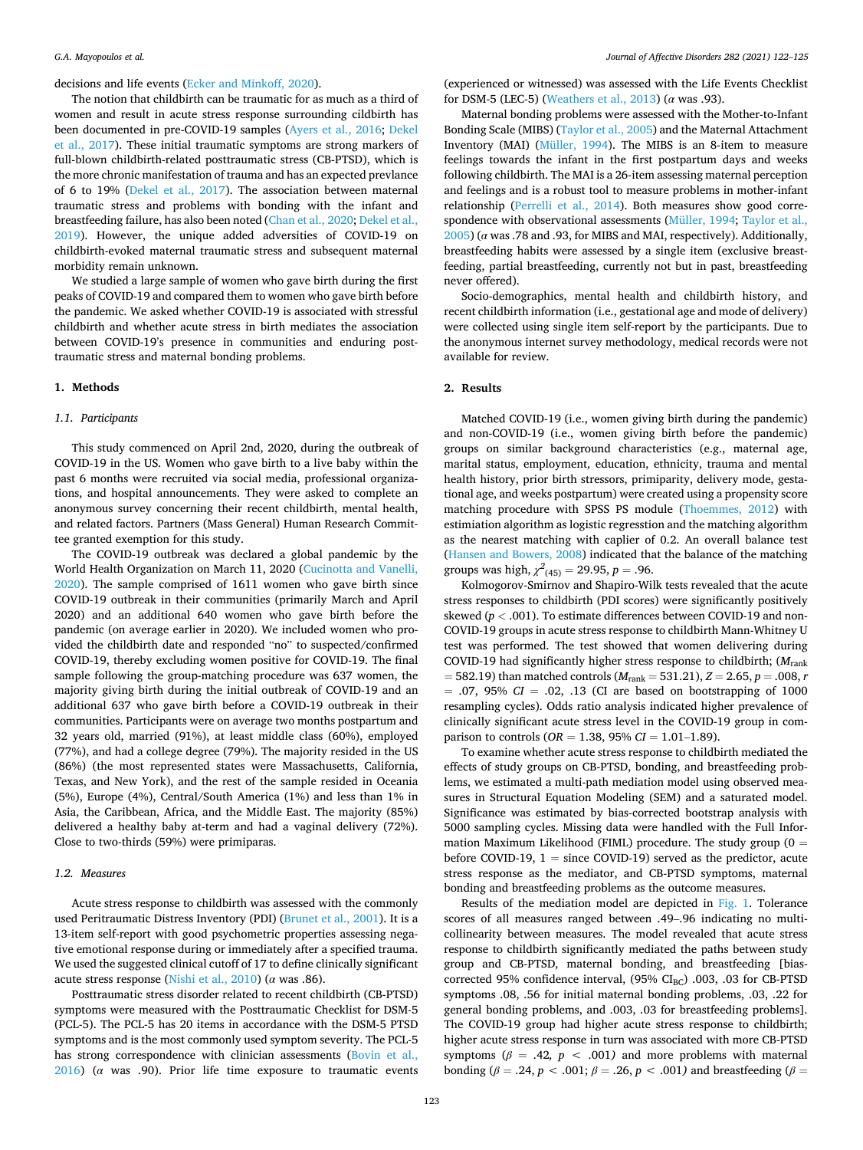decisions and life events [\(Ecker and Minkoff, 2020\)](#page-3-0).

The notion that childbirth can be traumatic for as much as a third of women and result in acute stress response surrounding cildbirth has been documented in pre-COVID-19 samples ([Ayers et al., 2016;](#page-3-0) [Dekel](#page-3-0)  [et al., 2017](#page-3-0)). These initial traumatic symptoms are strong markers of full-blown childbirth-related posttraumatic stress (CB-PTSD), which is the more chronic manifestation of trauma and has an expected prevlance of 6 to 19% [\(Dekel et al., 2017\)](#page-3-0). The association between maternal traumatic stress and problems with bonding with the infant and breastfeeding failure, has also been noted ([Chan et al., 2020](#page-3-0); [Dekel et al.,](#page-3-0)  [2019\)](#page-3-0). However, the unique added adversities of COVID-19 on childbirth-evoked maternal traumatic stress and subsequent maternal morbidity remain unknown.

We studied a large sample of women who gave birth during the first peaks of COVID-19 and compared them to women who gave birth before the pandemic. We asked whether COVID-19 is associated with stressful childbirth and whether acute stress in birth mediates the association between COVID-19's presence in communities and enduring posttraumatic stress and maternal bonding problems.

#### **1. Methods**

## *1.1. Participants*

This study commenced on April 2nd, 2020, during the outbreak of COVID-19 in the US. Women who gave birth to a live baby within the past 6 months were recruited via social media, professional organizations, and hospital announcements. They were asked to complete an anonymous survey concerning their recent childbirth, mental health, and related factors. Partners (Mass General) Human Research Committee granted exemption for this study.

The COVID-19 outbreak was declared a global pandemic by the World Health Organization on March 11, 2020 [\(Cucinotta and Vanelli,](#page-3-0)  [2020\)](#page-3-0). The sample comprised of 1611 women who gave birth since COVID-19 outbreak in their communities (primarily March and April 2020) and an additional 640 women who gave birth before the pandemic (on average earlier in 2020). We included women who provided the childbirth date and responded "no" to suspected/confirmed COVID-19, thereby excluding women positive for COVID-19. The final sample following the group-matching procedure was 637 women, the majority giving birth during the initial outbreak of COVID-19 and an additional 637 who gave birth before a COVID-19 outbreak in their communities. Participants were on average two months postpartum and 32 years old, married (91%), at least middle class (60%), employed (77%), and had a college degree (79%). The majority resided in the US (86%) (the most represented states were Massachusetts, California, Texas, and New York), and the rest of the sample resided in Oceania (5%), Europe (4%), Central/South America (1%) and less than 1% in Asia, the Caribbean, Africa, and the Middle East. The majority (85%) delivered a healthy baby at-term and had a vaginal delivery (72%). Close to two-thirds (59%) were primiparas.

## *1.2. Measures*

Acute stress response to childbirth was assessed with the commonly used Peritraumatic Distress Inventory (PDI) [\(Brunet et al., 2001\)](#page-3-0). It is a 13-item self-report with good psychometric properties assessing negative emotional response during or immediately after a specified trauma. We used the suggested clinical cutoff of 17 to define clinically significant acute stress response ([Nishi et al., 2010\)](#page-3-0) (*α* was .86).

Posttraumatic stress disorder related to recent childbirth (CB-PTSD) symptoms were measured with the Posttraumatic Checklist for DSM-5 (PCL-5). The PCL-5 has 20 items in accordance with the DSM-5 PTSD symptoms and is the most commonly used symptom severity. The PCL-5 has strong correspondence with clinician assessments ([Bovin et al.,](#page-3-0)   $2016$ ) ( $\alpha$  was .90). Prior life time exposure to traumatic events (experienced or witnessed) was assessed with the Life Events Checklist for DSM-5 (LEC-5) [\(Weathers et al., 2013\)](#page-3-0) (*α* was .93).

Maternal bonding problems were assessed with the Mother-to-Infant Bonding Scale (MIBS) ([Taylor et al., 2005\)](#page-3-0) and the Maternal Attachment Inventory (MAI) ([Müller, 1994\)](#page-3-0). The MIBS is an 8-item to measure feelings towards the infant in the first postpartum days and weeks following childbirth. The MAI is a 26-item assessing maternal perception and feelings and is a robust tool to measure problems in mother-infant relationship [\(Perrelli et al., 2014](#page-3-0)). Both measures show good correspondence with observational assessments ([Müller, 1994; Taylor et al.,](#page-3-0)  [2005\)](#page-3-0) (*α* was .78 and .93, for MIBS and MAI, respectively). Additionally, breastfeeding habits were assessed by a single item (exclusive breastfeeding, partial breastfeeding, currently not but in past, breastfeeding never offered).

Socio-demographics, mental health and childbirth history, and recent childbirth information (i.e., gestational age and mode of delivery) were collected using single item self-report by the participants. Due to the anonymous internet survey methodology, medical records were not available for review.

## **2. Results**

Matched COVID-19 (i.e., women giving birth during the pandemic) and non-COVID-19 (i.e., women giving birth before the pandemic) groups on similar background characteristics (e.g., maternal age, marital status, employment, education, ethnicity, trauma and mental health history, prior birth stressors, primiparity, delivery mode, gestational age, and weeks postpartum) were created using a propensity score matching procedure with SPSS PS module ([Thoemmes, 2012](#page-3-0)) with estimiation algorithm as logistic regresstion and the matching algorithm as the nearest matching with caplier of 0.2. An overall balance test ([Hansen and Bowers, 2008\)](#page-3-0) indicated that the balance of the matching groups was high,  $\chi^2_{(45)} = 29.95, p = .96$ .

Kolmogorov-Smirnov and Shapiro-Wilk tests revealed that the acute stress responses to childbirth (PDI scores) were significantly positively skewed (*p <* .001). To estimate differences between COVID-19 and non-COVID-19 groups in acute stress response to childbirth Mann-Whitney U test was performed. The test showed that women delivering during COVID-19 had significantly higher stress response to childbirth; (*M*rank = 582.19) than matched controls (*M*rank = 531.21), *Z* = 2.65, *p* = .008, *r*  = .07, 95% *CI* = .02, .13 (CI are based on bootstrapping of 1000 resampling cycles). Odds ratio analysis indicated higher prevalence of clinically significant acute stress level in the COVID-19 group in comparison to controls (*OR* = 1.38, 95% *CI* = 1.01–1.89).

To examine whether acute stress response to childbirth mediated the effects of study groups on CB-PTSD, bonding, and breastfeeding problems, we estimated a multi-path mediation model using observed measures in Structural Equation Modeling (SEM) and a saturated model. Significance was estimated by bias-corrected bootstrap analysis with 5000 sampling cycles. Missing data were handled with the Full Information Maximum Likelihood (FIML) procedure. The study group ( $0 =$ before COVID-19,  $1 =$  since COVID-19) served as the predictor, acute stress response as the mediator, and CB-PTSD symptoms, maternal bonding and breastfeeding problems as the outcome measures.

Results of the mediation model are depicted in [Fig. 1](#page-2-0). Tolerance scores of all measures ranged between .49–.96 indicating no multicollinearity between measures. The model revealed that acute stress response to childbirth significantly mediated the paths between study group and CB-PTSD, maternal bonding, and breastfeeding [biascorrected 95% confidence interval,  $(95\%$  CI<sub>BC</sub>) .003, .03 for CB-PTSD symptoms .08, .56 for initial maternal bonding problems, .03, .22 for general bonding problems, and .003, .03 for breastfeeding problems]. The COVID-19 group had higher acute stress response to childbirth; higher acute stress response in turn was associated with more CB-PTSD symptoms ( $\beta$  = .42,  $p$  < .001) and more problems with maternal bonding (*β* = .24, *p <* .001; *β* = .26, *p <* .001*)* and breastfeeding (*β* =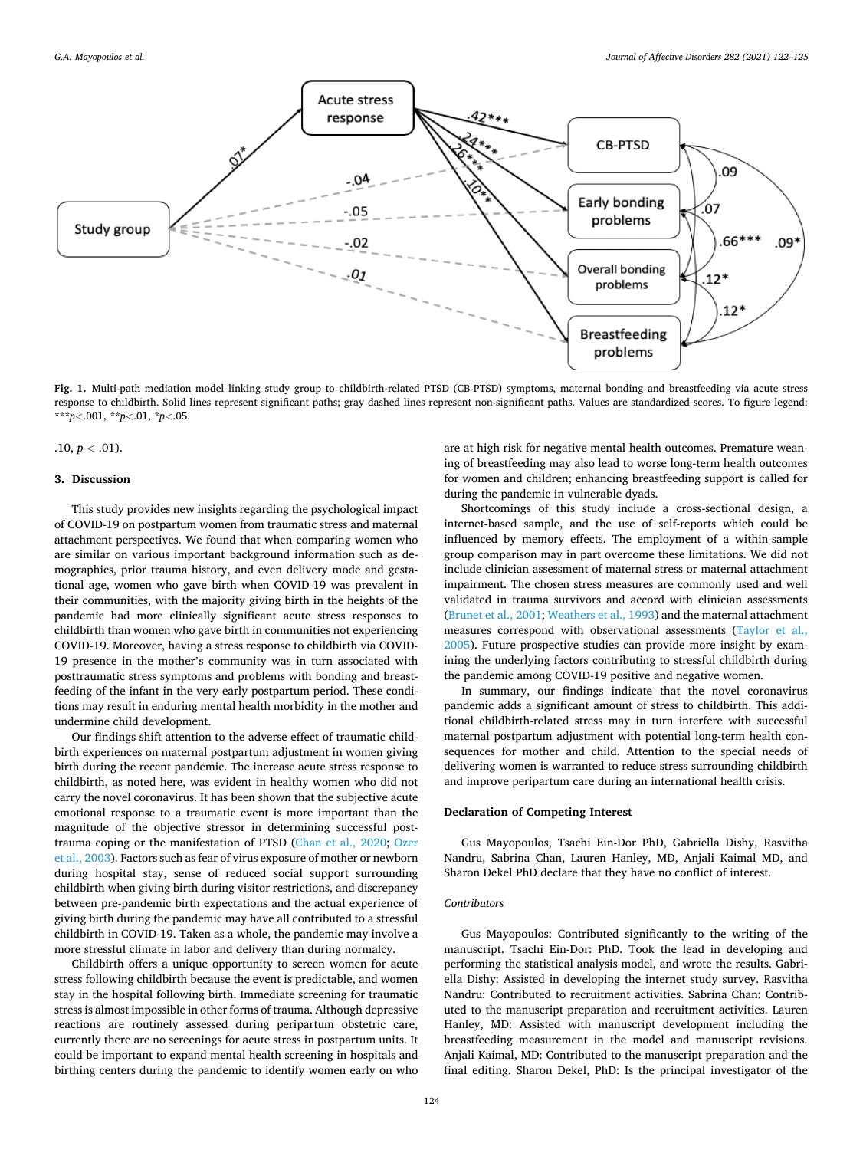<span id="page-2-0"></span>

**Fig. 1.** Multi-path mediation model linking study group to childbirth-related PTSD (CB-PTSD) symptoms, maternal bonding and breastfeeding via acute stress response to childbirth. Solid lines represent significant paths; gray dashed lines represent non-significant paths. Values are standardized scores. To figure legend: \*\*\**p<*.001, \*\**p<*.01, \**p<*.05.

## $.10, p < .01$ ).

### **3. Discussion**

This study provides new insights regarding the psychological impact of COVID-19 on postpartum women from traumatic stress and maternal attachment perspectives. We found that when comparing women who are similar on various important background information such as demographics, prior trauma history, and even delivery mode and gestational age, women who gave birth when COVID-19 was prevalent in their communities, with the majority giving birth in the heights of the pandemic had more clinically significant acute stress responses to childbirth than women who gave birth in communities not experiencing COVID-19. Moreover, having a stress response to childbirth via COVID-19 presence in the mother's community was in turn associated with posttraumatic stress symptoms and problems with bonding and breastfeeding of the infant in the very early postpartum period. These conditions may result in enduring mental health morbidity in the mother and undermine child development.

Our findings shift attention to the adverse effect of traumatic childbirth experiences on maternal postpartum adjustment in women giving birth during the recent pandemic. The increase acute stress response to childbirth, as noted here, was evident in healthy women who did not carry the novel coronavirus. It has been shown that the subjective acute emotional response to a traumatic event is more important than the magnitude of the objective stressor in determining successful posttrauma coping or the manifestation of PTSD ([Chan et al., 2020;](#page-3-0) [Ozer](#page-3-0)  [et al., 2003](#page-3-0)). Factors such as fear of virus exposure of mother or newborn during hospital stay, sense of reduced social support surrounding childbirth when giving birth during visitor restrictions, and discrepancy between pre-pandemic birth expectations and the actual experience of giving birth during the pandemic may have all contributed to a stressful childbirth in COVID-19. Taken as a whole, the pandemic may involve a more stressful climate in labor and delivery than during normalcy.

Childbirth offers a unique opportunity to screen women for acute stress following childbirth because the event is predictable, and women stay in the hospital following birth. Immediate screening for traumatic stress is almost impossible in other forms of trauma. Although depressive reactions are routinely assessed during peripartum obstetric care, currently there are no screenings for acute stress in postpartum units. It could be important to expand mental health screening in hospitals and birthing centers during the pandemic to identify women early on who

are at high risk for negative mental health outcomes. Premature weaning of breastfeeding may also lead to worse long-term health outcomes for women and children; enhancing breastfeeding support is called for during the pandemic in vulnerable dyads.

Shortcomings of this study include a cross-sectional design, a internet-based sample, and the use of self-reports which could be influenced by memory effects. The employment of a within-sample group comparison may in part overcome these limitations. We did not include clinician assessment of maternal stress or maternal attachment impairment. The chosen stress measures are commonly used and well validated in trauma survivors and accord with clinician assessments ([Brunet et al., 2001](#page-3-0); [Weathers et al., 1993\)](#page-3-0) and the maternal attachment measures correspond with observational assessments ([Taylor et al.,](#page-3-0)  [2005\)](#page-3-0). Future prospective studies can provide more insight by examining the underlying factors contributing to stressful childbirth during the pandemic among COVID-19 positive and negative women.

In summary, our findings indicate that the novel coronavirus pandemic adds a significant amount of stress to childbirth. This additional childbirth-related stress may in turn interfere with successful maternal postpartum adjustment with potential long-term health consequences for mother and child. Attention to the special needs of delivering women is warranted to reduce stress surrounding childbirth and improve peripartum care during an international health crisis.

#### **Declaration of Competing Interest**

Gus Mayopoulos, Tsachi Ein-Dor PhD, Gabriella Dishy, Rasvitha Nandru, Sabrina Chan, Lauren Hanley, MD, Anjali Kaimal MD, and Sharon Dekel PhD declare that they have no conflict of interest.

#### *Contributors*

Gus Mayopoulos: Contributed significantly to the writing of the manuscript. Tsachi Ein-Dor: PhD. Took the lead in developing and performing the statistical analysis model, and wrote the results. Gabriella Dishy: Assisted in developing the internet study survey. Rasvitha Nandru: Contributed to recruitment activities. Sabrina Chan: Contributed to the manuscript preparation and recruitment activities. Lauren Hanley, MD: Assisted with manuscript development including the breastfeeding measurement in the model and manuscript revisions. Anjali Kaimal, MD: Contributed to the manuscript preparation and the final editing. Sharon Dekel, PhD: Is the principal investigator of the